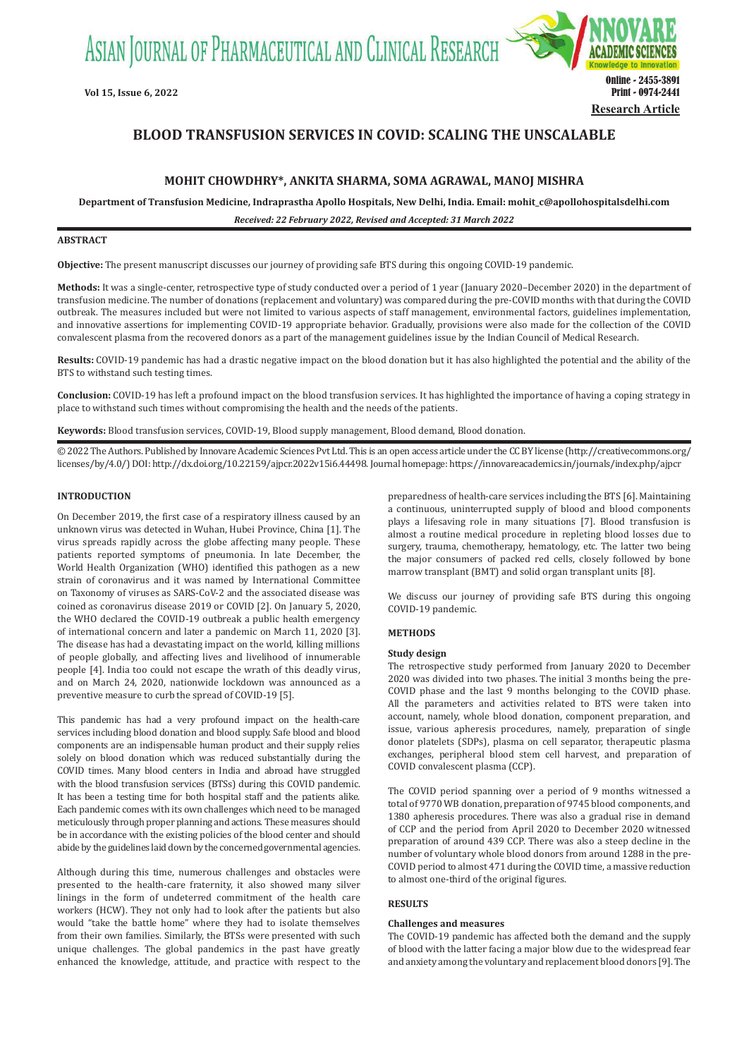ASIAN JOURNAL OF PHARMACEUTICAL AND CLINICAL RESEARCH



# **BLOOD TRANSFUSION SERVICES IN COVID: SCALING THE UNSCALABLE**

## **MOHIT CHOWDHRY\*, ANKITA SHARMA, SOMA AGRAWAL, MANOJ MISHRA**

**Department of Transfusion Medicine, Indraprastha Apollo Hospitals, New Delhi, India. Email: mohit\_c@apollohospitalsdelhi.com**

*Received: 22 February 2022, Revised and Accepted: 31 March 2022*

## **ABSTRACT**

**Objective:** The present manuscript discusses our journey of providing safe BTS during this ongoing COVID-19 pandemic.

**Methods:** It was a single-center, retrospective type of study conducted over a period of 1 year (January 2020–December 2020) in the department of transfusion medicine. The number of donations (replacement and voluntary) was compared during the pre-COVID months with that during the COVID outbreak. The measures included but were not limited to various aspects of staff management, environmental factors, guidelines implementation, and innovative assertions for implementing COVID-19 appropriate behavior. Gradually, provisions were also made for the collection of the COVID convalescent plasma from the recovered donors as a part of the management guidelines issue by the Indian Council of Medical Research.

**Results:** COVID-19 pandemic has had a drastic negative impact on the blood donation but it has also highlighted the potential and the ability of the BTS to withstand such testing times.

**Conclusion:** COVID-19 has left a profound impact on the blood transfusion services. It has highlighted the importance of having a coping strategy in place to withstand such times without compromising the health and the needs of the patients.

**Keywords:** Blood transfusion services, COVID-19, Blood supply management, Blood demand, Blood donation.

© 2022 The Authors. Published by Innovare Academic Sciences Pvt Ltd. This is an open access article under the CC BY license (http://creativecommons.org/ licenses/by/4.0/) DOI: http://dx.doi.org/10.22159/ajpcr.2022v15i6.44498. Journal homepage: https://innovareacademics.in/journals/index.php/ajpcr

#### **INTRODUCTION**

On December 2019, the first case of a respiratory illness caused by an unknown virus was detected in Wuhan, Hubei Province, China [1]. The virus spreads rapidly across the globe affecting many people. These patients reported symptoms of pneumonia. In late December, the World Health Organization (WHO) identified this pathogen as a new strain of coronavirus and it was named by International Committee on Taxonomy of viruses as SARS-CoV-2 and the associated disease was coined as coronavirus disease 2019 or COVID [2]. On January 5, 2020, the WHO declared the COVID-19 outbreak a public health emergency of international concern and later a pandemic on March 11, 2020 [3]. The disease has had a devastating impact on the world, killing millions of people globally, and affecting lives and livelihood of innumerable people [4]. India too could not escape the wrath of this deadly virus, and on March 24, 2020, nationwide lockdown was announced as a preventive measure to curb the spread of COVID-19 [5].

This pandemic has had a very profound impact on the health-care services including blood donation and blood supply. Safe blood and blood components are an indispensable human product and their supply relies solely on blood donation which was reduced substantially during the COVID times. Many blood centers in India and abroad have struggled with the blood transfusion services (BTSs) during this COVID pandemic. It has been a testing time for both hospital staff and the patients alike. Each pandemic comes with its own challenges which need to be managed meticulously through proper planning and actions. These measures should be in accordance with the existing policies of the blood center and should abide by the guidelines laid down by the concerned governmental agencies.

Although during this time, numerous challenges and obstacles were presented to the health-care fraternity, it also showed many silver linings in the form of undeterred commitment of the health care workers (HCW). They not only had to look after the patients but also would "take the battle home" where they had to isolate themselves from their own families. Similarly, the BTSs were presented with such unique challenges. The global pandemics in the past have greatly enhanced the knowledge, attitude, and practice with respect to the preparedness of health-care services including the BTS [6]. Maintaining a continuous, uninterrupted supply of blood and blood components plays a lifesaving role in many situations [7]. Blood transfusion is almost a routine medical procedure in repleting blood losses due to surgery, trauma, chemotherapy, hematology, etc. The latter two being the major consumers of packed red cells, closely followed by bone marrow transplant (BMT) and solid organ transplant units [8].

We discuss our journey of providing safe BTS during this ongoing COVID-19 pandemic.

### **METHODS**

#### **Study design**

The retrospective study performed from January 2020 to December 2020 was divided into two phases. The initial 3 months being the pre-COVID phase and the last 9 months belonging to the COVID phase. All the parameters and activities related to BTS were taken into account, namely, whole blood donation, component preparation, and issue, various apheresis procedures, namely, preparation of single donor platelets (SDPs), plasma on cell separator, therapeutic plasma exchanges, peripheral blood stem cell harvest, and preparation of COVID convalescent plasma (CCP).

The COVID period spanning over a period of 9 months witnessed a total of 9770 WB donation, preparation of 9745 blood components, and 1380 apheresis procedures. There was also a gradual rise in demand of CCP and the period from April 2020 to December 2020 witnessed preparation of around 439 CCP. There was also a steep decline in the number of voluntary whole blood donors from around 1288 in the pre-COVID period to almost 471 during the COVID time, a massive reduction to almost one-third of the original figures.

## **RESULTS**

#### **Challenges and measures**

The COVID-19 pandemic has affected both the demand and the supply of blood with the latter facing a major blow due to the widespread fear and anxiety among the voluntary and replacement blood donors [9]. The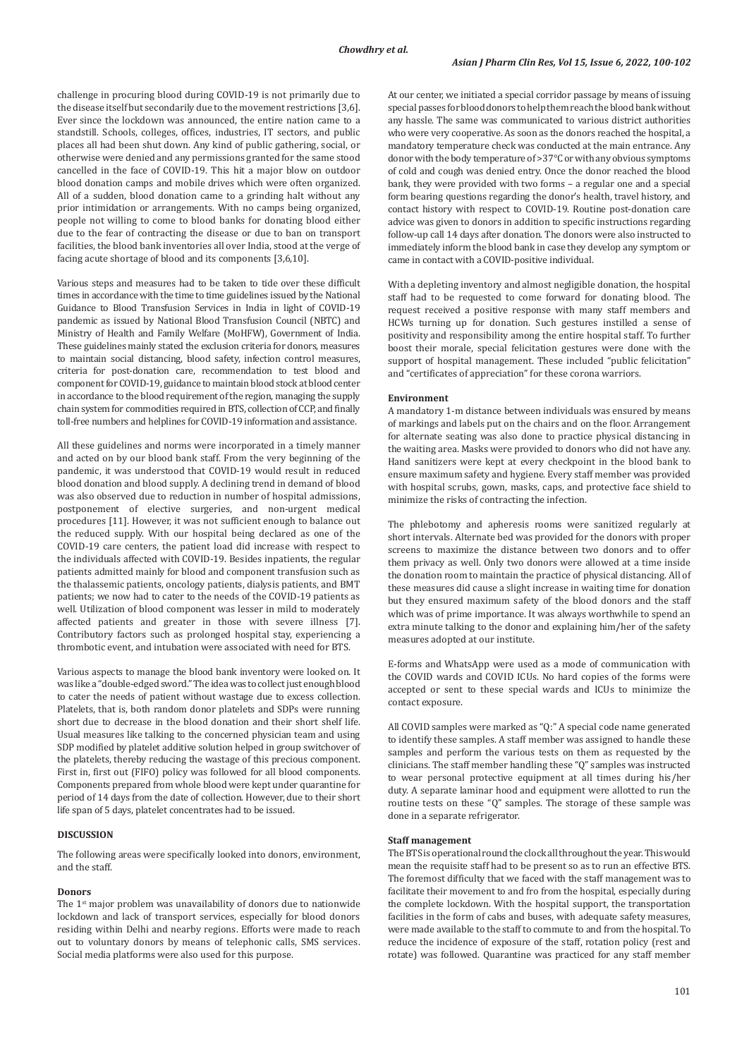challenge in procuring blood during COVID-19 is not primarily due to the disease itself but secondarily due to the movement restrictions [3,6]. Ever since the lockdown was announced, the entire nation came to a standstill. Schools, colleges, offices, industries, IT sectors, and public places all had been shut down. Any kind of public gathering, social, or otherwise were denied and any permissions granted for the same stood cancelled in the face of COVID-19. This hit a major blow on outdoor blood donation camps and mobile drives which were often organized. All of a sudden, blood donation came to a grinding halt without any prior intimidation or arrangements. With no camps being organized, people not willing to come to blood banks for donating blood either due to the fear of contracting the disease or due to ban on transport facilities, the blood bank inventories all over India, stood at the verge of facing acute shortage of blood and its components [3,6,10].

Various steps and measures had to be taken to tide over these difficult times in accordance with the time to time guidelines issued by the National Guidance to Blood Transfusion Services in India in light of COVID-19 pandemic as issued by National Blood Transfusion Council (NBTC) and Ministry of Health and Family Welfare (MoHFW), Government of India. These guidelines mainly stated the exclusion criteria for donors, measures to maintain social distancing, blood safety, infection control measures, criteria for post-donation care, recommendation to test blood and component for COVID-19, guidance to maintain blood stock at blood center in accordance to the blood requirement of the region, managing the supply chain system for commodities required in BTS, collection of CCP, and finally toll-free numbers and helplines for COVID-19 information and assistance.

All these guidelines and norms were incorporated in a timely manner and acted on by our blood bank staff. From the very beginning of the pandemic, it was understood that COVID-19 would result in reduced blood donation and blood supply. A declining trend in demand of blood was also observed due to reduction in number of hospital admissions, postponement of elective surgeries, and non-urgent medical procedures [11]. However, it was not sufficient enough to balance out the reduced supply. With our hospital being declared as one of the COVID-19 care centers, the patient load did increase with respect to the individuals affected with COVID-19. Besides inpatients, the regular patients admitted mainly for blood and component transfusion such as the thalassemic patients, oncology patients, dialysis patients, and BMT patients; we now had to cater to the needs of the COVID-19 patients as well. Utilization of blood component was lesser in mild to moderately affected patients and greater in those with severe illness [7]. Contributory factors such as prolonged hospital stay, experiencing a thrombotic event, and intubation were associated with need for BTS.

Various aspects to manage the blood bank inventory were looked on. It was like a "double-edged sword." The idea was to collect just enough blood to cater the needs of patient without wastage due to excess collection. Platelets, that is, both random donor platelets and SDPs were running short due to decrease in the blood donation and their short shelf life. Usual measures like talking to the concerned physician team and using SDP modified by platelet additive solution helped in group switchover of the platelets, thereby reducing the wastage of this precious component. First in, first out (FIFO) policy was followed for all blood components. Components prepared from whole blood were kept under quarantine for period of 14 days from the date of collection. However, due to their short life span of 5 days, platelet concentrates had to be issued.

#### **DISCUSSION**

The following areas were specifically looked into donors, environment, and the staff.

#### **Donors**

The 1<sup>st</sup> major problem was unavailability of donors due to nationwide lockdown and lack of transport services, especially for blood donors residing within Delhi and nearby regions. Efforts were made to reach out to voluntary donors by means of telephonic calls, SMS services. Social media platforms were also used for this purpose.

At our center, we initiated a special corridor passage by means of issuing special passes for blood donors to help them reach the blood bank without any hassle. The same was communicated to various district authorities who were very cooperative. As soon as the donors reached the hospital, a mandatory temperature check was conducted at the main entrance. Any donor with the body temperature of >37°C or with any obvious symptoms of cold and cough was denied entry. Once the donor reached the blood bank, they were provided with two forms – a regular one and a special form bearing questions regarding the donor's health, travel history, and contact history with respect to COVID-19. Routine post-donation care advice was given to donors in addition to specific instructions regarding follow-up call 14 days after donation. The donors were also instructed to immediately inform the blood bank in case they develop any symptom or came in contact with a COVID-positive individual.

With a depleting inventory and almost negligible donation, the hospital staff had to be requested to come forward for donating blood. The request received a positive response with many staff members and HCWs turning up for donation. Such gestures instilled a sense of positivity and responsibility among the entire hospital staff. To further boost their morale, special felicitation gestures were done with the support of hospital management. These included "public felicitation" and "certificates of appreciation" for these corona warriors.

### **Environment**

A mandatory 1-m distance between individuals was ensured by means of markings and labels put on the chairs and on the floor. Arrangement for alternate seating was also done to practice physical distancing in the waiting area. Masks were provided to donors who did not have any. Hand sanitizers were kept at every checkpoint in the blood bank to ensure maximum safety and hygiene. Every staff member was provided with hospital scrubs, gown, masks, caps, and protective face shield to minimize the risks of contracting the infection.

The phlebotomy and apheresis rooms were sanitized regularly at short intervals. Alternate bed was provided for the donors with proper screens to maximize the distance between two donors and to offer them privacy as well. Only two donors were allowed at a time inside the donation room to maintain the practice of physical distancing. All of these measures did cause a slight increase in waiting time for donation but they ensured maximum safety of the blood donors and the staff which was of prime importance. It was always worthwhile to spend an extra minute talking to the donor and explaining him/her of the safety measures adopted at our institute.

E-forms and WhatsApp were used as a mode of communication with the COVID wards and COVID ICUs. No hard copies of the forms were accepted or sent to these special wards and ICUs to minimize the contact exposure.

All COVID samples were marked as "Q:" A special code name generated to identify these samples. A staff member was assigned to handle these samples and perform the various tests on them as requested by the clinicians. The staff member handling these "Q" samples was instructed to wear personal protective equipment at all times during his/her duty. A separate laminar hood and equipment were allotted to run the routine tests on these "Q" samples. The storage of these sample was done in a separate refrigerator.

### **Staff management**

The BTS is operational round the clock all throughout the year. This would mean the requisite staff had to be present so as to run an effective BTS. The foremost difficulty that we faced with the staff management was to facilitate their movement to and fro from the hospital, especially during the complete lockdown. With the hospital support, the transportation facilities in the form of cabs and buses, with adequate safety measures, were made available to the staff to commute to and from the hospital. To reduce the incidence of exposure of the staff, rotation policy (rest and rotate) was followed. Quarantine was practiced for any staff member